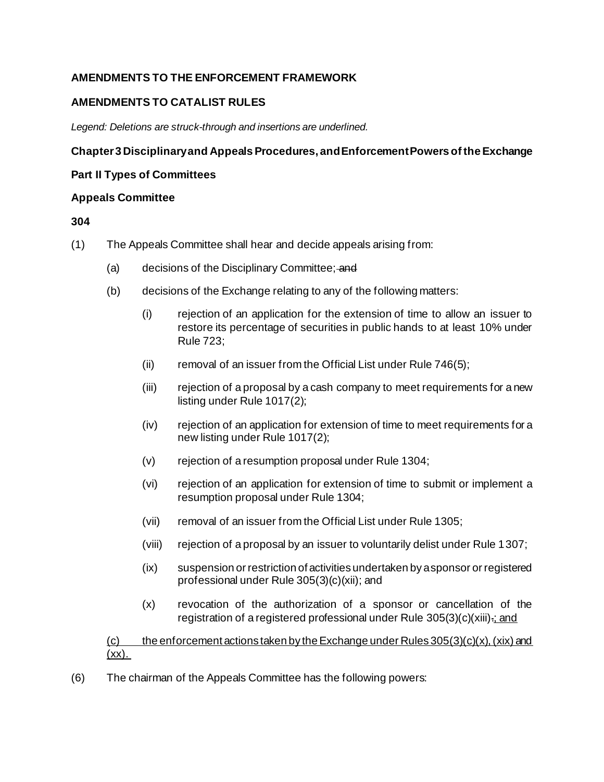# **AMENDMENTS TO THE ENFORCEMENT FRAMEWORK**

### **AMENDMENTS TO CATALIST RULES**

*Legend: Deletions are struck-through and insertions are underlined.* 

#### **Chapter 3 Disciplinary and Appeals Procedures, and Enforcement Powers of the Exchange**

#### **Part II Types of Committees**

#### **Appeals Committee**

#### **304**

- (1) The Appeals Committee shall hear and decide appeals arising from:
	- (a) decisions of the Disciplinary Committee; and
	- (b) decisions of the Exchange relating to any of the following matters:
		- (i) rejection of an application for the extension of time to allow an issuer to restore its percentage of securities in public hands to at least 10% under Rule 723;
		- (ii) removal of an issuer from the Official List under Rule  $746(5)$ ;
		- (iii) rejection of a proposal by a cash company to meet requirements for a new listing under Rule 1017(2);
		- (iv) rejection of an application for extension of time to meet requirements for a new listing under Rule 1017(2);
		- (v) rejection of a resumption proposal under Rule 1304;
		- (vi) rejection of an application for extension of time to submit or implement a resumption proposal under Rule 1304;
		- (vii) removal of an issuer from the Official List under Rule 1305;
		- (viii) rejection of a proposal by an issuer to voluntarily delist under Rule 1307;
		- (ix) suspension or restriction of activities undertaken by a sponsor or registered professional under Rule 305(3)(c)(xii); and
		- (x) revocation of the authorization of a sponsor or cancellation of the registration of a registered professional under Rule 305(3)(c)(xiii).; and

(c) the enforcement actions taken by the Exchange under Rules  $305(3)(c)(x)$ , (xix) and  $(xx)$ .

(6) The chairman of the Appeals Committee has the following powers: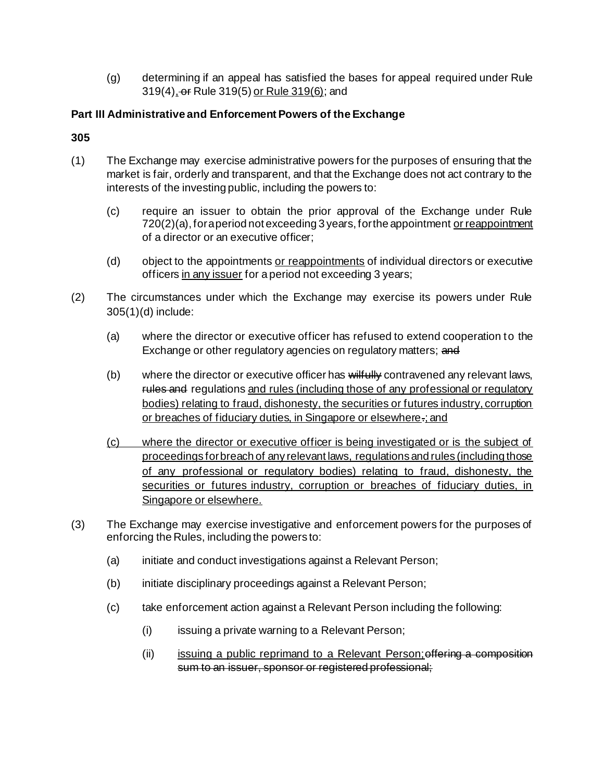(g) determining if an appeal has satisfied the bases for appeal required under Rule 319(4), or Rule 319(5) or Rule 319(6); and

### **Part III Administrative and Enforcement Powers of the Exchange**

#### **305**

- (1) The Exchange may exercise administrative powers for the purposes of ensuring that the market is fair, orderly and transparent, and that the Exchange does not act contrary to the interests of the investing public, including the powers to:
	- (c) require an issuer to obtain the prior approval of the Exchange under Rule 720(2)(a), for a period not exceeding 3 years, for the appointment or reappointment of a director or an executive officer;
	- (d) object to the appointments or reappointments of individual directors or executive officers in any issuer for a period not exceeding 3 years;
- (2) The circumstances under which the Exchange may exercise its powers under Rule 305(1)(d) include:
	- (a) where the director or executive officer has refused to extend cooperation to the Exchange or other regulatory agencies on regulatory matters; and
	- (b) where the director or executive officer has wilfully contravened any relevant laws, rules and regulations and rules (including those of any professional or regulatory bodies) relating to fraud, dishonesty, the securities or futures industry, corruption or breaches of fiduciary duties, in Singapore or elsewhere-; and
	- (c) where the director or executive officer is being investigated or is the subject of proceedings for breach of any relevant laws, regulations and rules (including those of any professional or regulatory bodies) relating to fraud, dishonesty, the securities or futures industry, corruption or breaches of fiduciary duties, in Singapore or elsewhere.
- (3) The Exchange may exercise investigative and enforcement powers for the purposes of enforcing the Rules, including the powers to:
	- (a) initiate and conduct investigations against a Relevant Person;
	- (b) initiate disciplinary proceedings against a Relevant Person;
	- (c) take enforcement action against a Relevant Person including the following:
		- (i) issuing a private warning to a Relevant Person;
		- (ii) issuing a public reprimand to a Relevant Person; offering a composition sum to an issuer, sponsor or registered professional;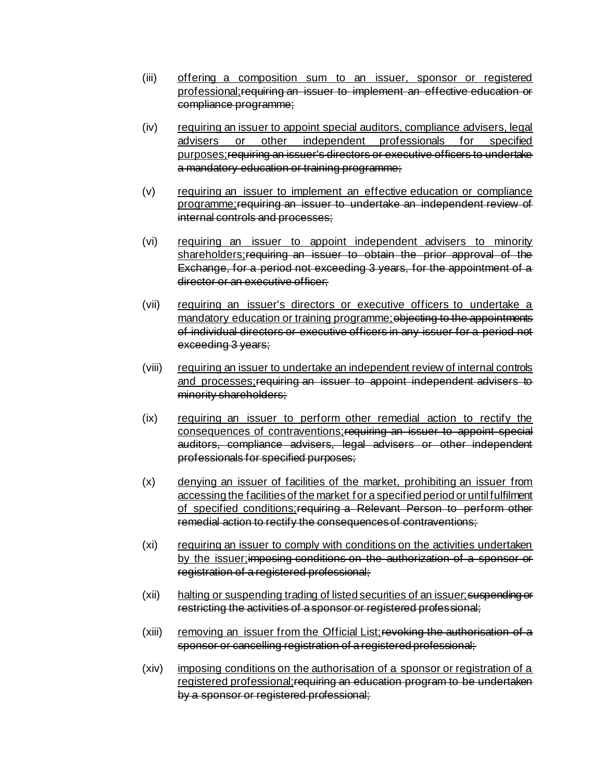- (iii) offering a composition sum to an issuer, sponsor or registered professional;requiring an issuer to implement an effective education or compliance programme;
- (iv) requiring an issuer to appoint special auditors, compliance advisers, legal advisers or other independent professionals for specified purposes;requiring an issuer's directors or executive officers to undertake a mandatory education or training programme;
- (v) requiring an issuer to implement an effective education or compliance programme;requiring an issuer to undertake an independent review of internal controls and processes;
- (vi) requiring an issuer to appoint independent advisers to minority shareholders; requiring an issuer to obtain the prior approval of the Exchange, for a period not exceeding 3 years, for the appointment of a director or an executive officer:
- (vii) requiring an issuer's directors or executive officers to undertake a mandatory education or training programme; objecting to the appointments of individual directors or executive officers in any issuer for a period not exceeding 3 years;
- (viii) requiring an issuer to undertake an independent review of internal controls and processes; requiring an issuer to appoint independent advisers to minority shareholders;
- (ix) requiring an issuer to perform other remedial action to rectify the consequences of contraventions;requiring an issuer to appoint special auditors, compliance advisers, legal advisers or other independent professionals for specified purposes;
- (x) denying an issuer of facilities of the market, prohibiting an issuer from accessing the facilities of the market for a specified period or until fulfilment of specified conditions; requiring a Relevant Person to perform other remedial action to rectify the consequences of contraventions;
- (xi) requiring an issuer to comply with conditions on the activities undertaken by the issuer;imposing conditions on the authorization of a sponsor or registration of a registered professional;
- (xii) halting or suspending trading of listed securities of an issuer; suspending or restricting the activities of a sponsor or registered professional;
- $(xii)$  removing an issuer from the Official List; revorting the authorisation of a sponsor or cancelling registration of a registered professional;
- (xiv) imposing conditions on the authorisation of a sponsor or registration of a registered professional;requiring an education program to be undertaken by a sponsor or registered professional;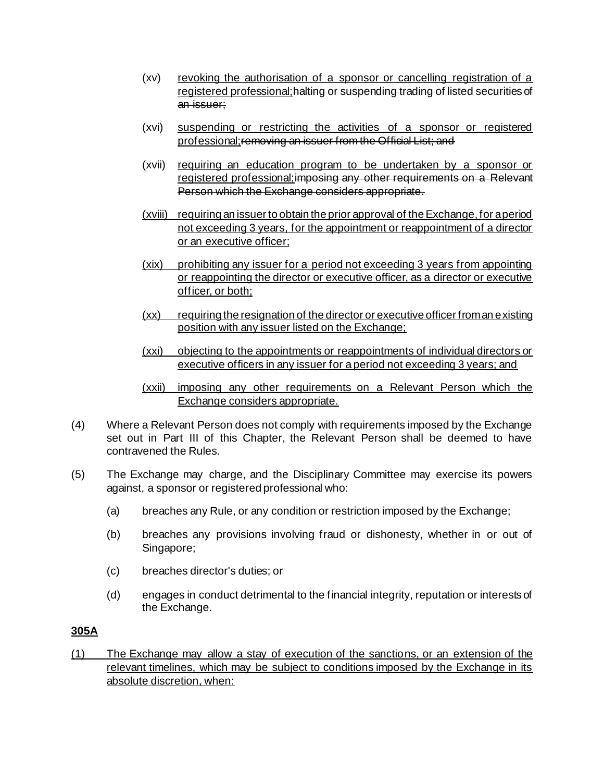- (xv) revoking the authorisation of a sponsor or cancelling registration of a registered professional; halting or suspending trading of listed securities of an issuer;
- (xvi) suspending or restricting the activities of a sponsor or registered professional; removing an issuer from the Official List; and
- (xvii) requiring an education program to be undertaken by a sponsor or registered professional; imposing any other requirements on a Relevant Person which the Exchange considers appropriate.
- (xviii) requiring an issuer to obtain the prior approval of the Exchange, for a period not exceeding 3 years, for the appointment or reappointment of a director or an executive officer;
- (xix) prohibiting any issuer for a period not exceeding 3 years from appointing or reappointing the director or executive officer, as a director or executive officer, or both;
- (xx) requiring the resignation of the director or executive officer from an existing position with any issuer listed on the Exchange;
- (xxi) objecting to the appointments or reappointments of individual directors or executive officers in any issuer for a period not exceeding 3 years; and
- (xxii) imposing any other requirements on a Relevant Person which the Exchange considers appropriate.
- (4) Where a Relevant Person does not comply with requirements imposed by the Exchange set out in Part III of this Chapter, the Relevant Person shall be deemed to have contravened the Rules.
- (5) The Exchange may charge, and the Disciplinary Committee may exercise its powers against, a sponsor or registered professional who:
	- (a) breaches any Rule, or any condition or restriction imposed by the Exchange;
	- (b) breaches any provisions involving fraud or dishonesty, whether in or out of Singapore;
	- (c) breaches director's duties; or
	- (d) engages in conduct detrimental to the financial integrity, reputation or interests of the Exchange.

### **305A**

(1) The Exchange may allow a stay of execution of the sanctions, or an extension of the relevant timelines, which may be subject to conditions imposed by the Exchange in its absolute discretion, when: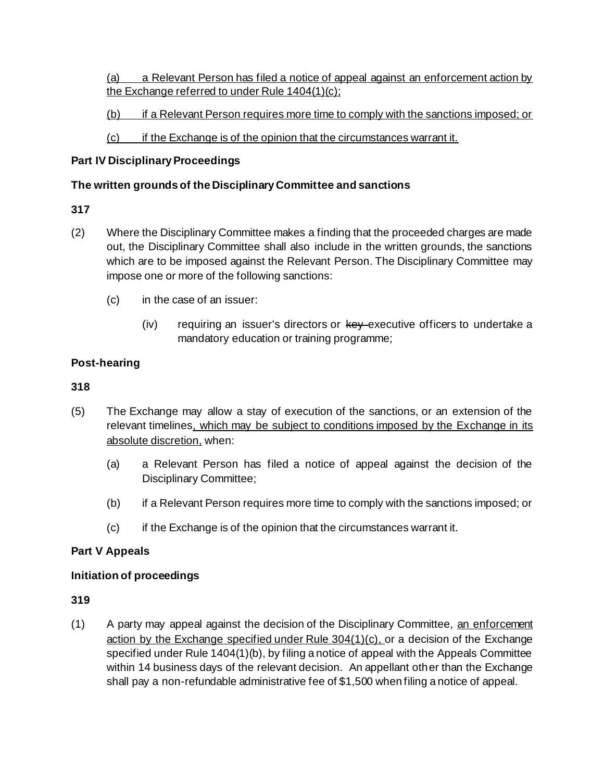(a) a Relevant Person has filed a notice of appeal against an enforcement action by the Exchange referred to under Rule 1404(1)(c);

(b) if a Relevant Person requires more time to comply with the sanctions imposed; or

(c) if the Exchange is of the opinion that the circumstances warrant it.

### **Part IV Disciplinary Proceedings**

### **The written grounds of the Disciplinary Committee and sanctions**

### **317**

- (2) Where the Disciplinary Committee makes a finding that the proceeded charges are made out, the Disciplinary Committee shall also include in the written grounds, the sanctions which are to be imposed against the Relevant Person. The Disciplinary Committee may impose one or more of the following sanctions:
	- (c) in the case of an issuer:
		- $(iv)$  requiring an issuer's directors or  $k$ ey executive officers to undertake a mandatory education or training programme;

# **Post-hearing**

# **318**

- (5) The Exchange may allow a stay of execution of the sanctions, or an extension of the relevant timelines, which may be subject to conditions imposed by the Exchange in its absolute discretion, when:
	- (a) a Relevant Person has filed a notice of appeal against the decision of the Disciplinary Committee;
	- (b) if a Relevant Person requires more time to comply with the sanctions imposed; or
	- (c) if the Exchange is of the opinion that the circumstances warrant it.

# **Part V Appeals**

### **Initiation of proceedings**

### **319**

(1) A party may appeal against the decision of the Disciplinary Committee, an enforcement action by the Exchange specified under Rule 304(1)(c), or a decision of the Exchange specified under Rule 1404(1)(b), by filing a notice of appeal with the Appeals Committee within 14 business days of the relevant decision. An appellant other than the Exchange shall pay a non-refundable administrative fee of \$1,500 when filing a notice of appeal.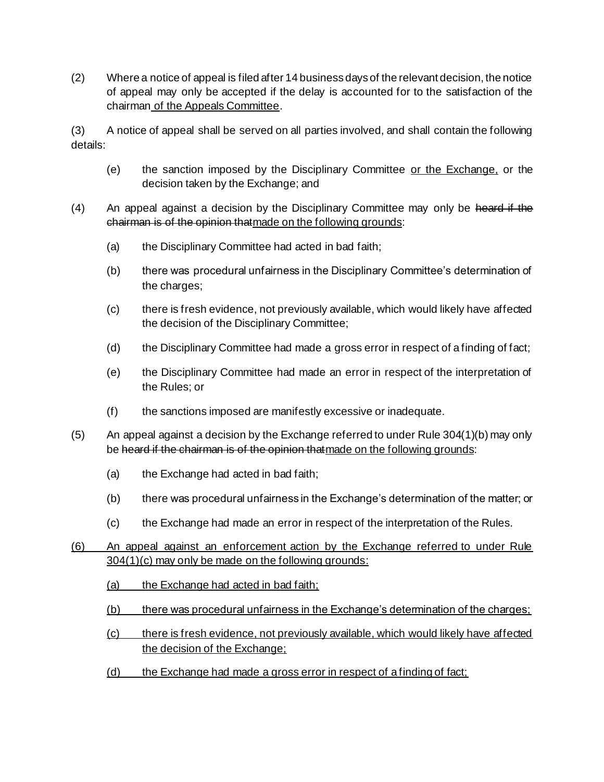(2) Where a notice of appeal is filed after 14 business days of the relevant decision, the notice of appeal may only be accepted if the delay is accounted for to the satisfaction of the chairman of the Appeals Committee.

(3) A notice of appeal shall be served on all parties involved, and shall contain the following details:

- (e) the sanction imposed by the Disciplinary Committee or the Exchange, or the decision taken by the Exchange; and
- (4) An appeal against a decision by the Disciplinary Committee may only be heard if the chairman is of the opinion thatmade on the following grounds:
	- (a) the Disciplinary Committee had acted in bad faith;
	- (b) there was procedural unfairness in the Disciplinary Committee's determination of the charges;
	- (c) there is fresh evidence, not previously available, which would likely have affected the decision of the Disciplinary Committee;
	- (d) the Disciplinary Committee had made a gross error in respect of a finding of fact;
	- (e) the Disciplinary Committee had made an error in respect of the interpretation of the Rules; or
	- (f) the sanctions imposed are manifestly excessive or inadequate.
- (5) An appeal against a decision by the Exchange referred to under Rule 304(1)(b) may only be heard if the chairman is of the opinion that made on the following grounds:
	- (a) the Exchange had acted in bad faith;
	- (b) there was procedural unfairness in the Exchange's determination of the matter; or
	- (c) the Exchange had made an error in respect of the interpretation of the Rules.
- (6) An appeal against an enforcement action by the Exchange referred to under Rule 304(1)(c) may only be made on the following grounds:
	- (a) the Exchange had acted in bad faith;
	- (b) there was procedural unfairness in the Exchange's determination of the charges;
	- (c) there is fresh evidence, not previously available, which would likely have affected the decision of the Exchange;
	- (d) the Exchange had made a gross error in respect of a finding of fact;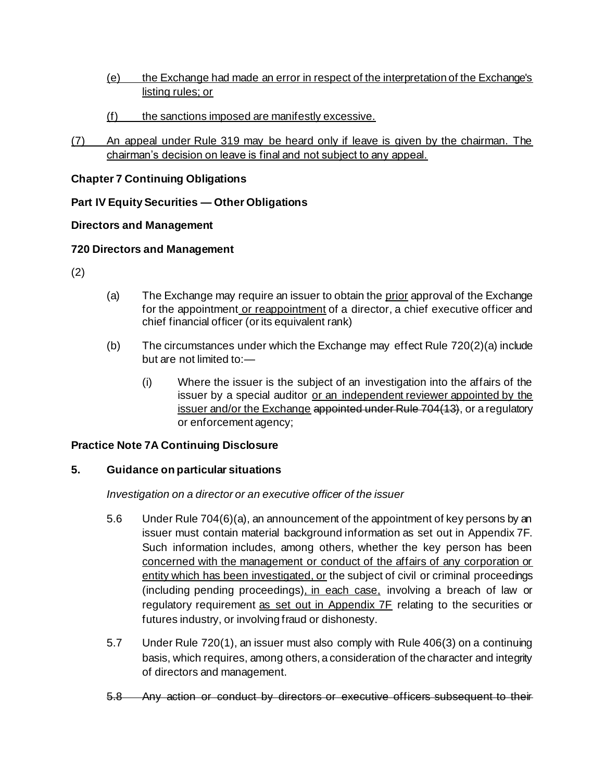- (e) the Exchange had made an error in respect of the interpretation of the Exchange's listing rules; or
- (f) the sanctions imposed are manifestly excessive.
- (7) An appeal under Rule 319 may be heard only if leave is given by the chairman. The chairman's decision on leave is final and not subject to any appeal.

# **Chapter 7 Continuing Obligations**

# **Part IV Equity Securities — Other Obligations**

# **Directors and Management**

# **720 Directors and Management**

- (2)
- (a) The Exchange may require an issuer to obtain the <u>prior</u> approval of the Exchange for the appointment or reappointment of a director, a chief executive officer and chief financial officer (or its equivalent rank)
- (b) The circumstances under which the Exchange may effect Rule [720\(](http://rulebook.sgx.com/node/3372)2)(a) include but are not limited to:—
	- (i) Where the issuer is the subject of an investigation into the affairs of the issuer by a special auditor or an independent reviewer appointed by the issuer and/or the Exchange appointed under Rule 704(13), or a regulatory or enforcement agency;

### **Practice Note 7A Continuing Disclosure**

### **5. Guidance on particular situations**

### *Investigation on a director or an executive officer of the issuer*

- 5.6 Under Rule 704(6)(a), an announcement of the appointment of key persons by an issuer must contain material background information as set out in Appendix 7F. Such information includes, among others, whether the key person has been concerned with the management or conduct of the affairs of any corporation or entity which has been investigated, or the subject of civil or criminal proceedings (including pending proceedings), in each case, involving a breach of law or regulatory requirement as set out in Appendix 7F relating to the securities or futures industry, or involving fraud or dishonesty.
- 5.7 Under Rule 720(1), an issuer must also comply with Rule 406(3) on a continuing basis, which requires, among others, a consideration of the character and integrity of directors and management.
- 5.8 Any action or conduct by directors or executive officers subsequent to their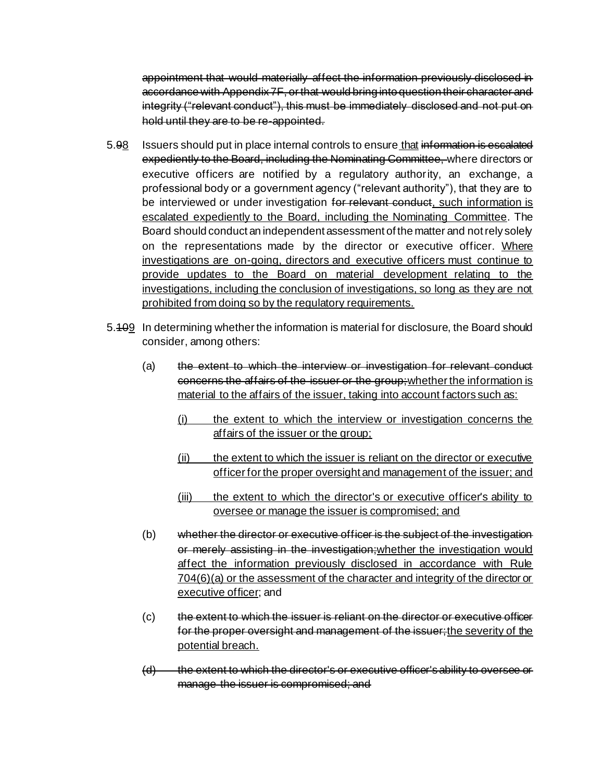appointment that would materially affect the information previously disclosed in accordance with Appendix 7F, or that would bring into question their character and integrity ("relevant conduct"), this must be immediately disclosed and not put on hold until they are to be re-appointed.

- 5.98 Issuers should put in place internal controls to ensure that information is escalated expediently to the Board, including the Nominating Committee, where directors or executive officers are notified by a regulatory authority, an exchange, a professional body or a government agency ("relevant authority"), that they are to be interviewed or under investigation for relevant conduct, such information is escalated expediently to the Board, including the Nominating Committee. The Board should conduct an independent assessment of the matter and not rely solely on the representations made by the director or executive officer. Where investigations are on-going, directors and executive officers must continue to provide updates to the Board on material development relating to the investigations, including the conclusion of investigations, so long as they are not prohibited from doing so by the regulatory requirements.
- 5.109 In determining whether the information is material for disclosure, the Board should consider, among others:
	- (a) the extent to which the interview or investigation for relevant conduct concerns the affairs of the issuer or the group;whether the information is material to the affairs of the issuer, taking into account factors such as:
		- (i) the extent to which the interview or investigation concerns the affairs of the issuer or the group;
		- (ii) the extent to which the issuer is reliant on the director or executive officer for the proper oversight and management of the issuer; and
		- (iii) the extent to which the director's or executive officer's ability to oversee or manage the issuer is compromised; and
	- (b) whether the director or executive officer is the subject of the investigation or merely assisting in the investigation; whether the investigation would affect the information previously disclosed in accordance with Rule 704(6)(a) or the assessment of the character and integrity of the director or executive officer; and
	- (c) the extent to which the issuer is reliant on the director or executive officer for the proper oversight and management of the issuer;the severity of the potential breach.
	- (d) the extent to which the director's or executive officer's ability to oversee or manage the issuer is compromised; and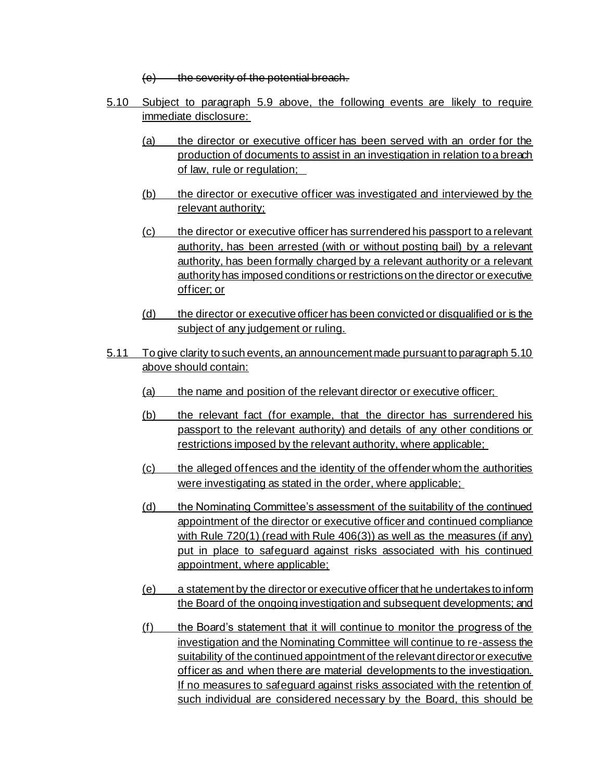$(e)$  the severity of the potential breach.

- 5.10 Subject to paragraph 5.9 above, the following events are likely to require immediate disclosure:
	- (a) the director or executive officer has been served with an order for the production of documents to assist in an investigation in relation to a breach of law, rule or regulation;
	- (b) the director or executive officer was investigated and interviewed by the relevant authority;
	- (c) the director or executive officer has surrendered his passport to a relevant authority, has been arrested (with or without posting bail) by a relevant authority, has been formally charged by a relevant authority or a relevant authority has imposed conditions or restrictions on the director or executive officer; or
	- (d) the director or executive officer has been convicted or disqualified or is the subject of any judgement or ruling.
- 5.11 To give clarity to such events, an announcement made pursuant to paragraph 5.10 above should contain:
	- (a) the name and position of the relevant director or executive officer;
	- (b) the relevant fact (for example, that the director has surrendered his passport to the relevant authority) and details of any other conditions or restrictions imposed by the relevant authority, where applicable;
	- (c) the alleged offences and the identity of the offender whom the authorities were investigating as stated in the order, where applicable;
	- (d) the Nominating Committee's assessment of the suitability of the continued appointment of the director or executive officer and continued compliance with Rule 720(1) (read with Rule 406(3)) as well as the measures (if any) put in place to safeguard against risks associated with his continued appointment, where applicable;
	- (e) a statement by the director or executive officer that he undertakes to inform the Board of the ongoing investigation and subsequent developments; and
	- (f) the Board's statement that it will continue to monitor the progress of the investigation and the Nominating Committee will continue to re-assess the suitability of the continued appointment of the relevant director or executive officer as and when there are material developments to the investigation. If no measures to safeguard against risks associated with the retention of such individual are considered necessary by the Board, this should be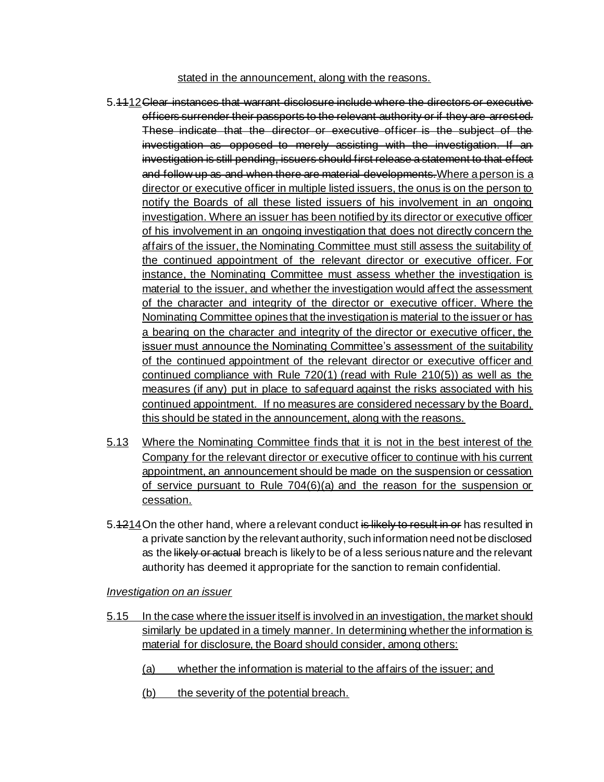#### stated in the announcement, along with the reasons.

- 5.1112Clear instances that warrant disclosure include where the directors or executive officers surrender their passports to the relevant authority or if they are arrested. These indicate that the director or executive officer is the subject of the investigation as opposed to merely assisting with the investigation. If an investigation is still pending, issuers should first release a statement to that effect and follow up as and when there are material developments. Where a person is a director or executive officer in multiple listed issuers, the onus is on the person to notify the Boards of all these listed issuers of his involvement in an ongoing investigation. Where an issuer has been notified by its director or executive officer of his involvement in an ongoing investigation that does not directly concern the affairs of the issuer, the Nominating Committee must still assess the suitability of the continued appointment of the relevant director or executive officer. For instance, the Nominating Committee must assess whether the investigation is material to the issuer, and whether the investigation would affect the assessment of the character and integrity of the director or executive officer. Where the Nominating Committee opines that the investigation is material to the issuer or has a bearing on the character and integrity of the director or executive officer, the issuer must announce the Nominating Committee's assessment of the suitability of the continued appointment of the relevant director or executive officer and continued compliance with Rule 720(1) (read with Rule 210(5)) as well as the measures (if any) put in place to safeguard against the risks associated with his continued appointment. If no measures are considered necessary by the Board, this should be stated in the announcement, along with the reasons.
- 5.13 Where the Nominating Committee finds that it is not in the best interest of the Company for the relevant director or executive officer to continue with his current appointment, an announcement should be made on the suspension or cessation of service pursuant to Rule 704(6)(a) and the reason for the suspension or cessation.
- 5.4214 On the other hand, where a relevant conduct is likely to result in or has resulted in a private sanction by the relevant authority, such information need not be disclosed as the likely or actual breach is likely to be of a less serious nature and the relevant authority has deemed it appropriate for the sanction to remain confidential.

#### *Investigation on an issuer*

- 5.15 In the case where the issuer itself is involved in an investigation, the market should similarly be updated in a timely manner. In determining whether the information is material for disclosure, the Board should consider, among others:
	- (a) whether the information is material to the affairs of the issuer; and
	- (b) the severity of the potential breach.